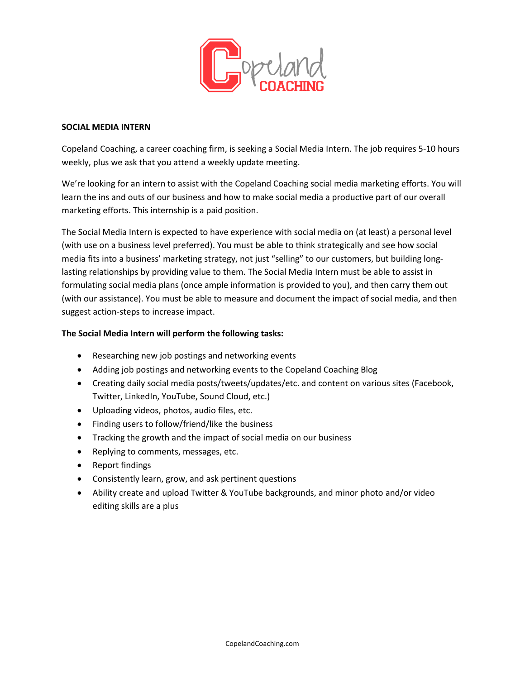

# **SOCIAL MEDIA INTERN**

Copeland Coaching, a career coaching firm, is seeking a Social Media Intern. The job requires 5-10 hours weekly, plus we ask that you attend a weekly update meeting.

We're looking for an intern to assist with the Copeland Coaching social media marketing efforts. You will learn the ins and outs of our business and how to make social media a productive part of our overall marketing efforts. This internship is a paid position.

The Social Media Intern is expected to have experience with social media on (at least) a personal level (with use on a business level preferred). You must be able to think strategically and see how social media fits into a business' marketing strategy, not just "selling" to our customers, but building longlasting relationships by providing value to them. The Social Media Intern must be able to assist in formulating social media plans (once ample information is provided to you), and then carry them out (with our assistance). You must be able to measure and document the impact of social media, and then suggest action-steps to increase impact.

### **The Social Media Intern will perform the following tasks:**

- Researching new job postings and networking events
- Adding job postings and networking events to the Copeland Coaching Blog
- Creating daily social media posts/tweets/updates/etc. and content on various sites (Facebook, Twitter, LinkedIn, YouTube, Sound Cloud, etc.)
- Uploading videos, photos, audio files, etc.
- Finding users to follow/friend/like the business
- Tracking the growth and the impact of social media on our business
- Replying to comments, messages, etc.
- Report findings
- Consistently learn, grow, and ask pertinent questions
- Ability create and upload Twitter & YouTube backgrounds, and minor photo and/or video editing skills are a plus